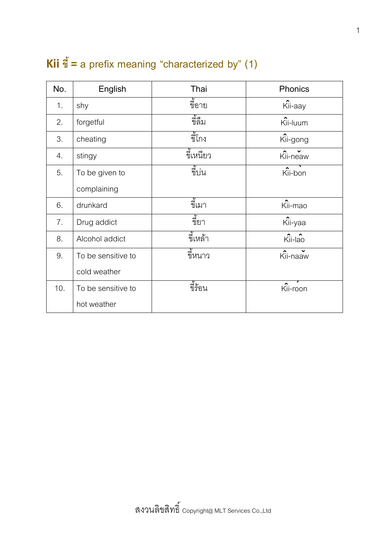## **Kii ขี้= a prefix meaning "characterized by" (1)**

| No. | English            | Thai              | Phonics  |
|-----|--------------------|-------------------|----------|
| 1.  | shy                | จ้<br>ขี่อาย      | Kii-aay  |
| 2.  | forgetful          | มัน<br>ขี่ลืม     | Kii-luum |
| 3.  | cheating           | ขี่โกง            | Kii-gong |
| 4.  | stingy             | ขี้เหนียว         | Kii-neaw |
| 5.  | To be given to     | จ้ำ<br>ขีบน       | Kii-bon  |
|     | complaining        |                   |          |
| 6.  | drunkard           | ขี้เมา            | Kii-mao  |
| 7.  | Drug addict        | ี<br>ขียา         | Kii-yaa  |
| 8.  | Alcohol addict     | ขี้เหล้า          | Kii-lao  |
| 9.  | To be sensitive to | ขี้หนาว           | Kii-naaw |
|     | cold weather       |                   |          |
| 10. | To be sensitive to | จ้ั้ะ<br>ขี่รั้อน | Kii-roon |
|     | hot weather        |                   |          |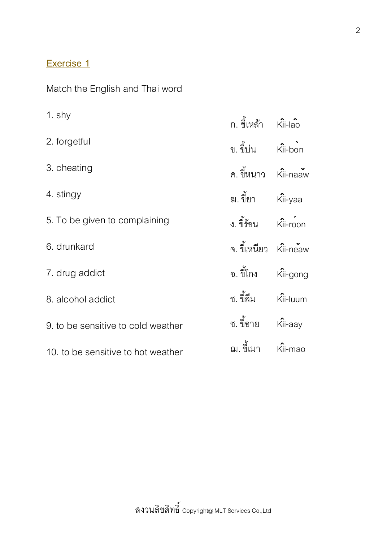## **Exercise 1**

Match the English and Thai word

| 1 shy                              |                       |  |
|------------------------------------|-----------------------|--|
| 2. forgetful                       | ข. ขึ้นน Kii-bon      |  |
| 3. cheating                        | ิ ค. ขึ้นนาว Kii-naaw |  |
| 4. stingy                          |                       |  |
| 5. To be given to complaining      |                       |  |
| 6. drunkard                        | จ. ขี้เหนียว Kii-neaw |  |
| 7. drug addict                     | ฉ. ขี้โกง Kii-gong    |  |
| 8. alcohol addict                  |                       |  |
| 9. to be sensitive to cold weather | ซ. ขี้อาย Kii-aay     |  |
| 10 to be sensitive to hot weather  | ิฌ.ขึ้เมา Kii-mao     |  |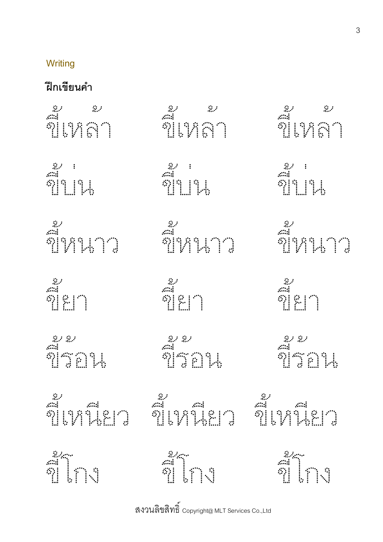## **Writing**

## **ฝึ กเขียนค ำ**

| aa<br>Najari |             |
|--------------|-------------|
|              |             |
|              |             |
|              | an<br>alina |

สงวนลิขสิทธิ์  $_{\rm copyright\alpha}$  MLT Services Co.,Ltd